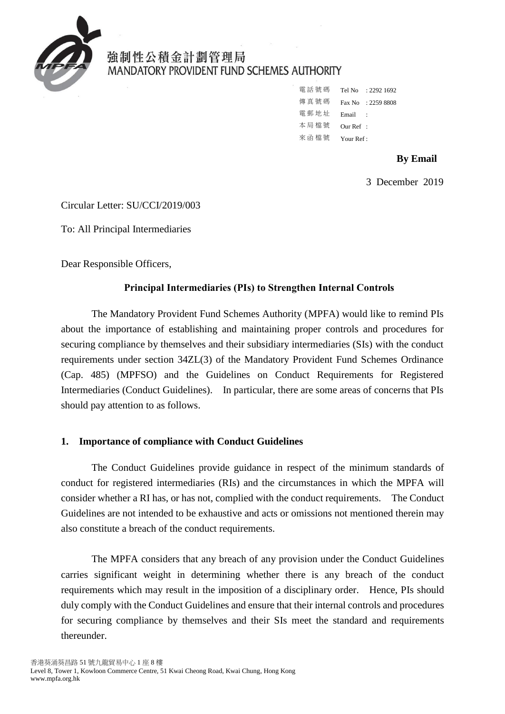

# 強制性公積金計劃管理局 **MANDATORY PROVIDENT FUND SCHEMES AUTHORITY**

電話號碼 Tel No : 2292 1692 傳真號碼 Fax No : 2259 8808 電郵地址 Email : 本 局 檔 號 Our Ref : 來 函 檔 號 Your Ref:

**By Email**

3 December 2019

Circular Letter: SU/CCI/2019/003

To: All Principal Intermediaries

Dear Responsible Officers,

### **Principal Intermediaries (PIs) to Strengthen Internal Controls**

The Mandatory Provident Fund Schemes Authority (MPFA) would like to remind PIs about the importance of establishing and maintaining proper controls and procedures for securing compliance by themselves and their subsidiary intermediaries (SIs) with the conduct requirements under section 34ZL(3) of the Mandatory Provident Fund Schemes Ordinance (Cap. 485) (MPFSO) and the Guidelines on Conduct Requirements for Registered Intermediaries (Conduct Guidelines). In particular, there are some areas of concerns that PIs should pay attention to as follows.

## **1. Importance of compliance with Conduct Guidelines**

The Conduct Guidelines provide guidance in respect of the minimum standards of conduct for registered intermediaries (RIs) and the circumstances in which the MPFA will consider whether a RI has, or has not, complied with the conduct requirements. The Conduct Guidelines are not intended to be exhaustive and acts or omissions not mentioned therein may also constitute a breach of the conduct requirements.

The MPFA considers that any breach of any provision under the Conduct Guidelines carries significant weight in determining whether there is any breach of the conduct requirements which may result in the imposition of a disciplinary order. Hence, PIs should duly comply with the Conduct Guidelines and ensure that their internal controls and procedures for securing compliance by themselves and their SIs meet the standard and requirements thereunder.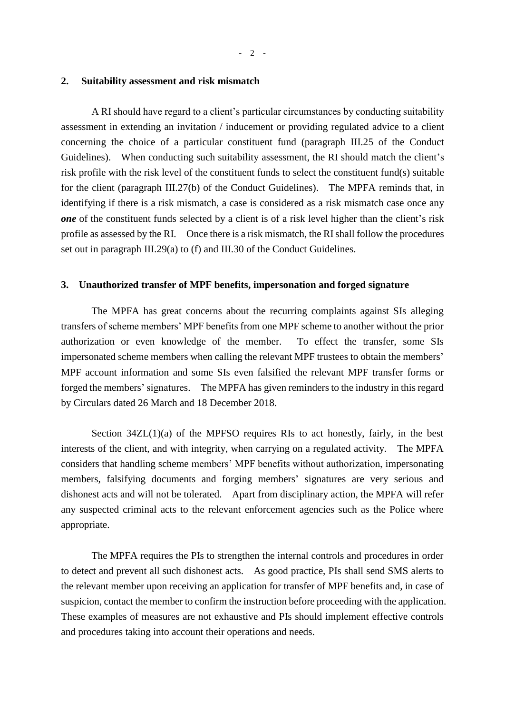#### **2. Suitability assessment and risk mismatch**

A RI should have regard to a client's particular circumstances by conducting suitability assessment in extending an invitation / inducement or providing regulated advice to a client concerning the choice of a particular constituent fund (paragraph III.25 of the Conduct Guidelines). When conducting such suitability assessment, the RI should match the client's risk profile with the risk level of the constituent funds to select the constituent fund(s) suitable for the client (paragraph III.27(b) of the Conduct Guidelines). The MPFA reminds that, in identifying if there is a risk mismatch, a case is considered as a risk mismatch case once any *one* of the constituent funds selected by a client is of a risk level higher than the client's risk profile as assessed by the RI. Once there is a risk mismatch, the RI shall follow the procedures set out in paragraph III.29(a) to (f) and III.30 of the Conduct Guidelines.

#### **3. Unauthorized transfer of MPF benefits, impersonation and forged signature**

The MPFA has great concerns about the recurring complaints against SIs alleging transfers of scheme members' MPF benefits from one MPF scheme to another without the prior authorization or even knowledge of the member. To effect the transfer, some SIs impersonated scheme members when calling the relevant MPF trustees to obtain the members' MPF account information and some SIs even falsified the relevant MPF transfer forms or forged the members' signatures. The MPFA has given reminders to the industry in this regard by Circulars dated 26 March and 18 December 2018.

Section  $34ZL(1)(a)$  of the MPFSO requires RIs to act honestly, fairly, in the best interests of the client, and with integrity, when carrying on a regulated activity. The MPFA considers that handling scheme members' MPF benefits without authorization, impersonating members, falsifying documents and forging members' signatures are very serious and dishonest acts and will not be tolerated. Apart from disciplinary action, the MPFA will refer any suspected criminal acts to the relevant enforcement agencies such as the Police where appropriate.

The MPFA requires the PIs to strengthen the internal controls and procedures in order to detect and prevent all such dishonest acts. As good practice, PIs shall send SMS alerts to the relevant member upon receiving an application for transfer of MPF benefits and, in case of suspicion, contact the member to confirm the instruction before proceeding with the application. These examples of measures are not exhaustive and PIs should implement effective controls and procedures taking into account their operations and needs.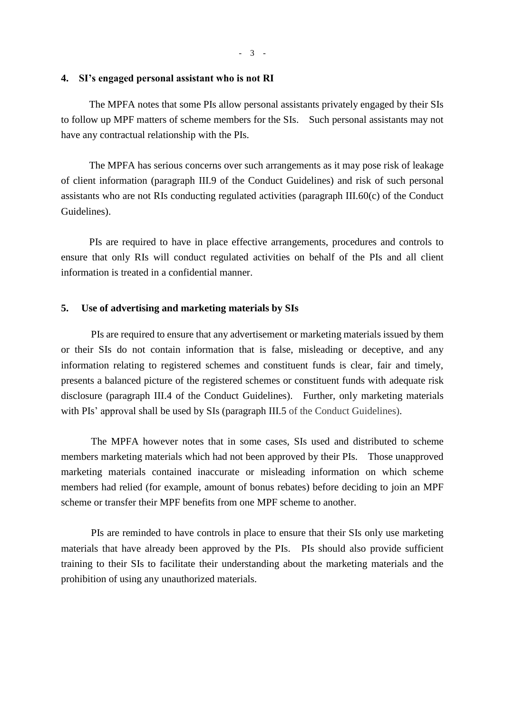#### **4. SI's engaged personal assistant who is not RI**

The MPFA notes that some PIs allow personal assistants privately engaged by their SIs to follow up MPF matters of scheme members for the SIs. Such personal assistants may not have any contractual relationship with the PIs.

The MPFA has serious concerns over such arrangements as it may pose risk of leakage of client information (paragraph III.9 of the Conduct Guidelines) and risk of such personal assistants who are not RIs conducting regulated activities (paragraph III.60(c) of the Conduct Guidelines).

PIs are required to have in place effective arrangements, procedures and controls to ensure that only RIs will conduct regulated activities on behalf of the PIs and all client information is treated in a confidential manner.

#### **5. Use of advertising and marketing materials by SIs**

PIs are required to ensure that any advertisement or marketing materials issued by them or their SIs do not contain information that is false, misleading or deceptive, and any information relating to registered schemes and constituent funds is clear, fair and timely, presents a balanced picture of the registered schemes or constituent funds with adequate risk disclosure (paragraph III.4 of the Conduct Guidelines). Further, only marketing materials with PIs' approval shall be used by SIs (paragraph III.5 of the Conduct Guidelines).

The MPFA however notes that in some cases, SIs used and distributed to scheme members marketing materials which had not been approved by their PIs. Those unapproved marketing materials contained inaccurate or misleading information on which scheme members had relied (for example, amount of bonus rebates) before deciding to join an MPF scheme or transfer their MPF benefits from one MPF scheme to another.

PIs are reminded to have controls in place to ensure that their SIs only use marketing materials that have already been approved by the PIs. PIs should also provide sufficient training to their SIs to facilitate their understanding about the marketing materials and the prohibition of using any unauthorized materials.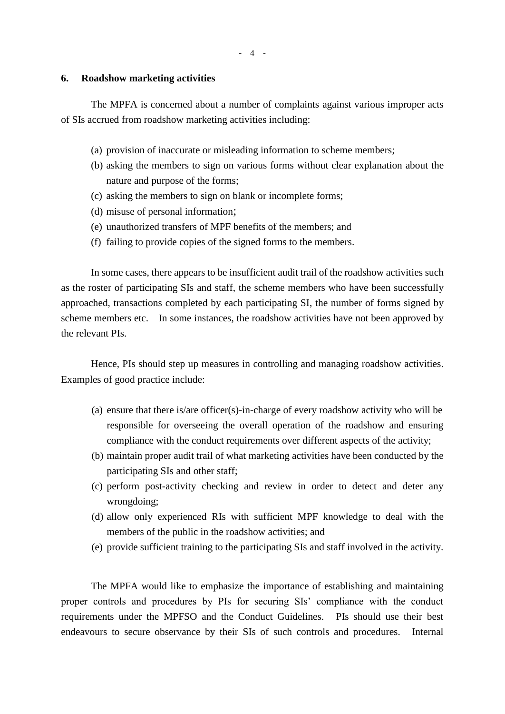#### **6. Roadshow marketing activities**

The MPFA is concerned about a number of complaints against various improper acts of SIs accrued from roadshow marketing activities including:

- (a) provision of inaccurate or misleading information to scheme members;
- (b) asking the members to sign on various forms without clear explanation about the nature and purpose of the forms;
- (c) asking the members to sign on blank or incomplete forms;
- (d) misuse of personal information;
- (e) unauthorized transfers of MPF benefits of the members; and
- (f) failing to provide copies of the signed forms to the members.

In some cases, there appears to be insufficient audit trail of the roadshow activities such as the roster of participating SIs and staff, the scheme members who have been successfully approached, transactions completed by each participating SI, the number of forms signed by scheme members etc. In some instances, the roadshow activities have not been approved by the relevant PIs.

Hence, PIs should step up measures in controlling and managing roadshow activities. Examples of good practice include:

- (a) ensure that there is/are officer(s)-in-charge of every roadshow activity who will be responsible for overseeing the overall operation of the roadshow and ensuring compliance with the conduct requirements over different aspects of the activity;
- (b) maintain proper audit trail of what marketing activities have been conducted by the participating SIs and other staff;
- (c) perform post-activity checking and review in order to detect and deter any wrongdoing;
- (d) allow only experienced RIs with sufficient MPF knowledge to deal with the members of the public in the roadshow activities; and
- (e) provide sufficient training to the participating SIs and staff involved in the activity.

The MPFA would like to emphasize the importance of establishing and maintaining proper controls and procedures by PIs for securing SIs' compliance with the conduct requirements under the MPFSO and the Conduct Guidelines. PIs should use their best endeavours to secure observance by their SIs of such controls and procedures. Internal